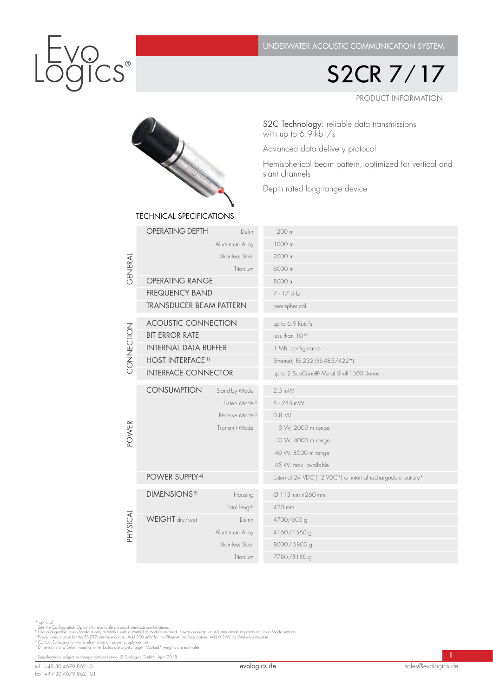PRODUCT INFORMATION S2CR 7/17

SI ROCKET TECHNICAL SPECIFICATIONS

S2C Technology: reliable data transmissions with up to 6.9 kbit/s

Advanced data delivery protocol

Hemispherical beam pattern, optimized for vertical and slant channels

Depth rated long-range device

|                          | TEUTINIUAE OFEUITUATIUINO      |                            |                                                             |  |  |  |  |
|--------------------------|--------------------------------|----------------------------|-------------------------------------------------------------|--|--|--|--|
| GENERAL                  | <b>OPERATING DEPTH</b>         | Delrin                     | 200 m                                                       |  |  |  |  |
|                          |                                | Aluminium Alloy            | 1000 m                                                      |  |  |  |  |
|                          |                                | Stainless Steel            | 2000 m                                                      |  |  |  |  |
|                          |                                | Titanium                   | 6000 m                                                      |  |  |  |  |
|                          | <b>OPERATING RANGE</b>         |                            | 8000 m                                                      |  |  |  |  |
|                          | <b>FREQUENCY BAND</b>          |                            | 7 - 17 kHz                                                  |  |  |  |  |
|                          | <b>TRANSDUCER BEAM PATTERN</b> |                            | hemispherical                                               |  |  |  |  |
| CONNECTION               | <b>ACOUSTIC CONNECTION</b>     |                            | up to 6.9 kbit/s                                            |  |  |  |  |
|                          | <b>BIT ERROR RATE</b>          |                            | less than 1010                                              |  |  |  |  |
|                          | <b>INTERNAL DATA BUFFER</b>    |                            | 1 MB, configurable                                          |  |  |  |  |
|                          | <b>HOST INTERFACE 1)</b>       |                            | Ethernet, RS-232 (RS-485/422*)                              |  |  |  |  |
|                          | <b>INTERFACE CONNECTOR</b>     |                            | up to 2 SubConn® Metal Shell 1500 Series                    |  |  |  |  |
| <b>POWER</b><br>PHYSICAL | <b>CONSUMPTION</b>             | Stand-by Mode              | $2.5$ mW                                                    |  |  |  |  |
|                          |                                | Listen Mode <sup>21</sup>  | 5 - 285 mW                                                  |  |  |  |  |
|                          |                                | Receive Mode <sup>3)</sup> | 0.8 W                                                       |  |  |  |  |
|                          |                                | Transmit Mode              | 3 W, 2000 m range                                           |  |  |  |  |
|                          |                                |                            | 10 W, 4000 m range                                          |  |  |  |  |
|                          |                                |                            | 40 W, 8000 m range                                          |  |  |  |  |
|                          |                                |                            | 45 W, max. available                                        |  |  |  |  |
|                          | POWER SUPPLY <sup>4)</sup>     |                            | External 24 VDC (12 VDC*) or internal rechargeable battery* |  |  |  |  |
|                          | DIMENSIONS <sup>5)</sup>       | Housing                    | Ø 113 mm × 260 mm                                           |  |  |  |  |
|                          |                                | Total length               | 420 mm                                                      |  |  |  |  |
|                          | WEIGHT dry/wet                 | Delrin                     | 4700/600 g                                                  |  |  |  |  |
|                          |                                | Aluminium Alloy            | 4160/1560 g                                                 |  |  |  |  |
|                          | Stainless Steel<br>Titanium    |                            | 8000/5800 g                                                 |  |  |  |  |
|                          |                                |                            | 7780/5180 g                                                 |  |  |  |  |

\* optional<br>"See the Configuration Options for available standard interface combinations.<br>"I Userconfigurable Listen Mode is only available with a Wake-Up module installed. Power consumption in Listen Mode depends on Listen

Specifications subject to change without notice. © EvoLogics GmbH - April 2018 1999 1999 1999 1999 1999 1999 1